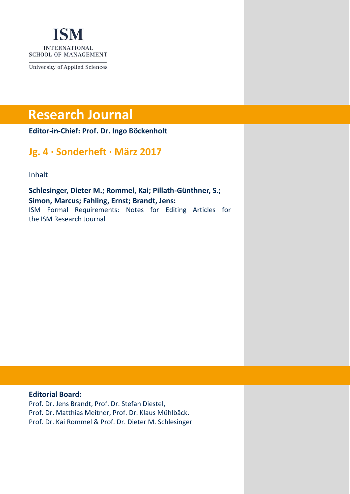

**University of Applied Sciences** 

# **Research Journal**

**Editor-in-Chief: Prof. Dr. Ingo Böckenholt**

# **Jg. 4 · Sonderheft · März 2017**

Inhalt

**Schlesinger, Dieter M.; Rommel, Kai; Pillath-Günthner, S.; Simon, Marcus; Fahling, Ernst; Brandt, Jens:** ISM Formal Requirements: Notes for Editing Articles for the ISM Research Journal

#### **Editorial Board:**

Prof. Dr. Jens Brandt, Prof. Dr. Stefan Diestel, Prof. Dr. Matthias Meitner, Prof. Dr. Klaus Mühlbäck, Prof. Dr. Kai Rommel & Prof. Dr. Dieter M. Schlesinger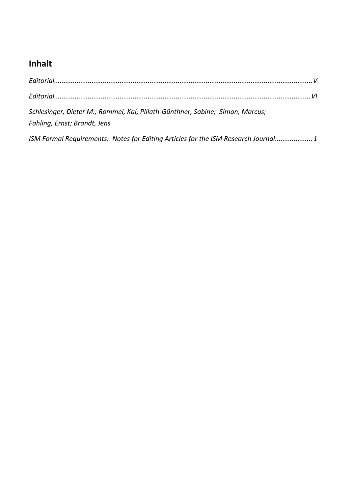# **Inhalt**

| Schlesinger, Dieter M.; Rommel, Kai; Pillath-Günthner, Sabine; Simon, Marcus;<br>Fahling, Ernst; Brandt, Jens |
|---------------------------------------------------------------------------------------------------------------|
| ISM Formal Requirements: Notes for Editing Articles for the ISM Research Journal 1                            |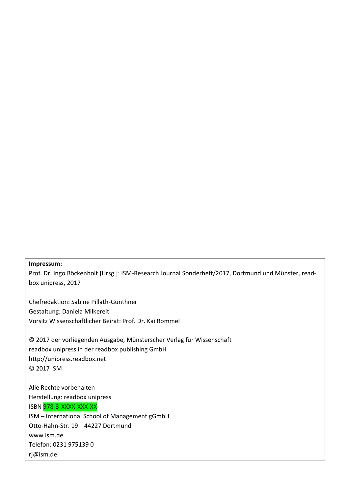#### **Impressum:**

Prof. Dr. Ingo Böckenholt [Hrsg.]: ISM-Research Journal Sonderheft/2017, Dortmund und Münster, readbox unipress, 2017

Chefredaktion: Sabine Pillath-Günthner Gestaltung: Daniela Milkereit Vorsitz Wissenschaftlicher Beirat: Prof. Dr. Kai Rommel

© 2017 der vorliegenden Ausgabe, Münsterscher Verlag für Wissenschaft readbox unipress in der readbox publishing GmbH http://unipress.readbox.net © 2017 ISM

Alle Rechte vorbehalten Herstellung: readbox unipress ISBN 978-3-XXXX-XXX-XX ISM – International School of Management gGmbH Otto-Hahn-Str. 19 | 44227 Dortmund [www.ism.de](http://www.ism.de/) Telefon: 0231 975139 0 rj@ism.de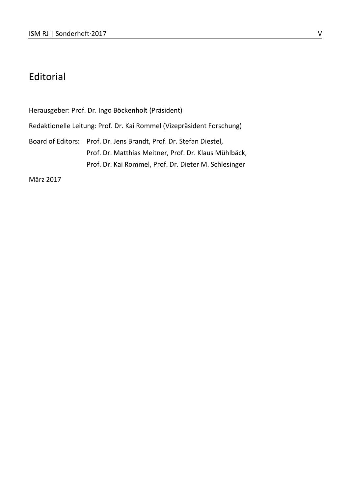# <span id="page-4-0"></span>Editorial

Herausgeber: Prof. Dr. Ingo Böckenholt (Präsident) Redaktionelle Leitung: Prof. Dr. Kai Rommel (Vizepräsident Forschung) Board of Editors: Prof. Dr. Jens Brandt, Prof. Dr. Stefan Diestel, Prof. Dr. Matthias Meitner, Prof. Dr. Klaus Mühlbäck, Prof. Dr. Kai Rommel, Prof. Dr. Dieter M. Schlesinger

März 2017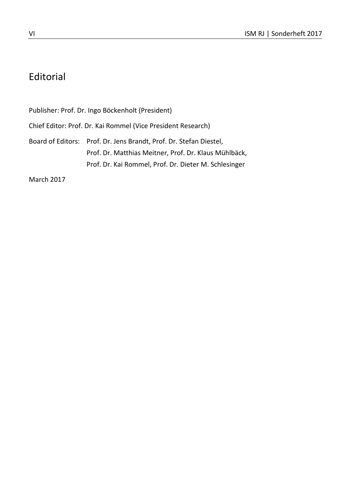# <span id="page-5-0"></span>Editorial

Publisher: Prof. Dr. Ingo Böckenholt (President) Chief Editor: Prof. Dr. Kai Rommel (Vice President Research) Board of Editors: Prof. Dr. Jens Brandt, Prof. Dr. Stefan Diestel, Prof. Dr. Matthias Meitner, Prof. Dr. Klaus Mühlbäck, Prof. Dr. Kai Rommel, Prof. Dr. Dieter M. Schlesinger

March 2017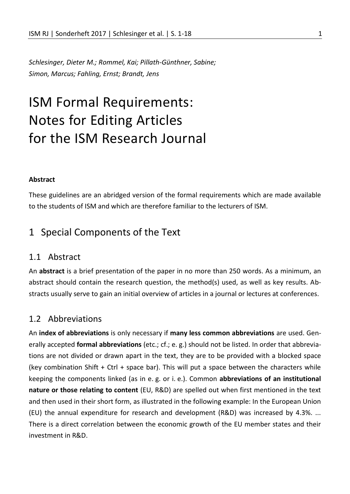<span id="page-6-0"></span>*Schlesinger, Dieter M.; Rommel, Kai; Pillath-Günthner, Sabine; Simon, Marcus; Fahling, Ernst; Brandt, Jens*

# <span id="page-6-1"></span>ISM Formal Requirements: Notes for Editing Articles for the ISM Research Journal

#### **Abstract**

These guidelines are an abridged version of the formal requirements which are made available to the students of ISM and which are therefore familiar to the lecturers of ISM.

# 1 Special Components of the Text

### 1.1 Abstract

An **abstract** is a brief presentation of the paper in no more than 250 words. As a minimum, an abstract should contain the research question, the method(s) used, as well as key results. Abstracts usually serve to gain an initial overview of articles in a journal or lectures at conferences.

## 1.2 Abbreviations

An **index of abbreviations** is only necessary if **many less common abbreviations** are used. Generally accepted **formal abbreviations** (etc.; cf.; e. g.) should not be listed. In order that abbreviations are not divided or drawn apart in the text, they are to be provided with a blocked space (key combination Shift + Ctrl + space bar). This will put a space between the characters while keeping the components linked (as in e. g. or i. e.). Common **abbreviations of an institutional nature or those relating to content** (EU, R&D) are spelled out when first mentioned in the text and then used in their short form, as illustrated in the following example: In the European Union (EU) the annual expenditure for research and development (R&D) was increased by 4.3%. ... There is a direct correlation between the economic growth of the EU member states and their investment in R&D.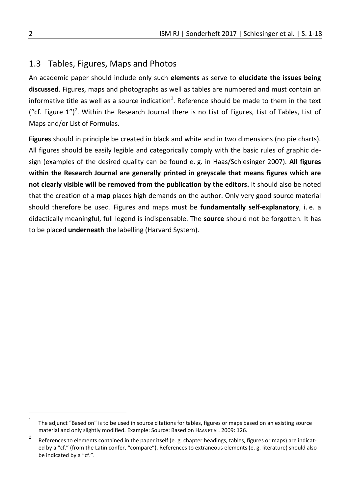# 1.3 Tables, Figures, Maps and Photos

An academic paper should include only such **elements** as serve to **elucidate the issues being discussed**. Figures, maps and photographs as well as tables are numbered and must contain an informative title as well as a source indication<sup>1</sup>. Reference should be made to them in the text ("cf. Figure  $1")^2$ . Within the Research Journal there is no List of Figures, List of Tables, List of Maps and/or List of Formulas.

**Figures** should in principle be created in black and white and in two dimensions (no pie charts). All figures should be easily legible and categorically comply with the basic rules of graphic design (examples of the desired quality can be found e. g. in Haas/Schlesinger 2007). **All figures within the Research Journal are generally printed in greyscale that means figures which are not clearly visible will be removed from the publication by the editors.** It should also be noted that the creation of a **map** places high demands on the author. Only very good source material should therefore be used. Figures and maps must be **fundamentally self-explanatory**, i. e. a didactically meaningful, full legend is indispensable. The **source** should not be forgotten. It has to be placed **underneath** the labelling (Harvard System).

 $\overline{a}$ 

<sup>1</sup> The adjunct "Based on" is to be used in source citations for tables, figures or maps based on an existing source material and only slightly modified. Example: Source: Based on HAAS ET AL. 2009: 126.

<sup>2</sup> References to elements contained in the paper itself (e. g. chapter headings, tables, figures or maps) are indicated by a "cf." (from the Latin confer, "compare"). References to extraneous elements (e. g. literature) should also be indicated by a "cf.".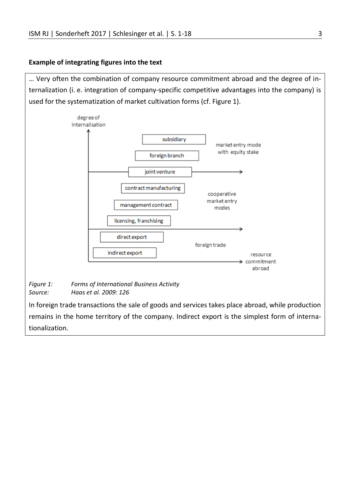#### **Example of integrating figures into the text**

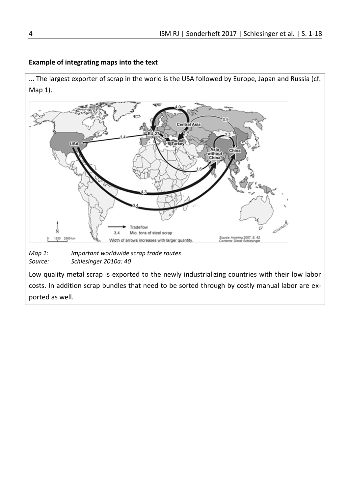#### **Example of integrating maps into the text**

... The largest exporter of scrap in the world is the USA followed by Europe, Japan and Russia (cf. Map 1).



*Map 1: Important worldwide scrap trade routes Source: Schlesinger 2010a: 40*

Low quality metal scrap is exported to the newly industrializing countries with their low labor costs. In addition scrap bundles that need to be sorted through by costly manual labor are exported as well.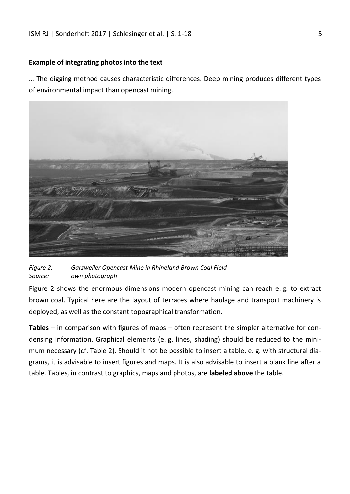#### **Example of integrating photos into the text**

… The digging method causes characteristic differences. Deep mining produces different types of environmental impact than opencast mining.



*Figure 2: Garzweiler Opencast Mine in Rhineland Brown Coal Field Source: own photograph*

Figure 2 shows the enormous dimensions modern opencast mining can reach e. g. to extract brown coal. Typical here are the layout of terraces where haulage and transport machinery is deployed, as well as the constant topographical transformation.

**Tables** – in comparison with figures of maps – often represent the simpler alternative for condensing information. Graphical elements (e. g. lines, shading) should be reduced to the minimum necessary (cf. Table 2). Should it not be possible to insert a table, e. g. with structural diagrams, it is advisable to insert figures and maps. It is also advisable to insert a blank line after a table. Tables, in contrast to graphics, maps and photos, are **labeled above** the table.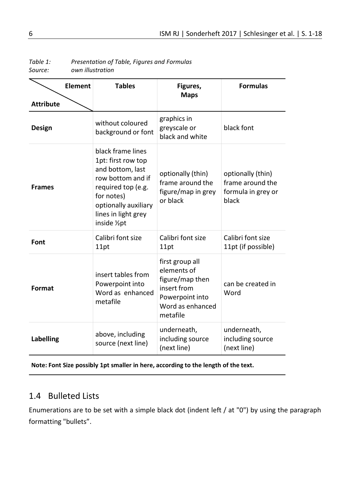| <b>Element</b>   | <b>Tables</b>                                                                                                                                                                        | Figures,<br><b>Maps</b>                                                                                             | <b>Formulas</b>                                                      |
|------------------|--------------------------------------------------------------------------------------------------------------------------------------------------------------------------------------|---------------------------------------------------------------------------------------------------------------------|----------------------------------------------------------------------|
| <b>Attribute</b> |                                                                                                                                                                                      |                                                                                                                     |                                                                      |
| <b>Design</b>    | without coloured<br>background or font                                                                                                                                               | graphics in<br>greyscale or<br>black and white                                                                      | black font                                                           |
| <b>Frames</b>    | black frame lines<br>1pt: first row top<br>and bottom, last<br>row bottom and if<br>required top (e.g.<br>for notes)<br>optionally auxiliary<br>lines in light grey<br>inside 1/2 pt | optionally (thin)<br>frame around the<br>figure/map in grey<br>or black                                             | optionally (thin)<br>frame around the<br>formula in grey or<br>black |
| Font             | Calibri font size<br>11pt                                                                                                                                                            | Calibri font size<br>11pt                                                                                           | Calibri font size<br>11pt (if possible)                              |
| Format           | insert tables from<br>Powerpoint into<br>Word as enhanced<br>metafile                                                                                                                | first group all<br>elements of<br>figure/map then<br>insert from<br>Powerpoint into<br>Word as enhanced<br>metafile | can be created in<br>Word                                            |
| <b>Labelling</b> | above, including<br>source (next line)                                                                                                                                               | underneath,<br>including source<br>(next line)                                                                      | underneath,<br>including source<br>(next line)                       |

*Table 1: Presentation of Table, Figures and Formulas*  $own$ *illustration* 

**Note: Font Size possibly 1pt smaller in here, according to the length of the text.**

# 1.4 [Bulleted](http://www.linguee.de/englisch-deutsch/uebersetzung/bulleted.html) [Lists](http://www.linguee.de/englisch-deutsch/uebersetzung/list.html)

Enumerations are to be set with a simple black dot (indent left / at "0") by using the paragraph formatting "bullets".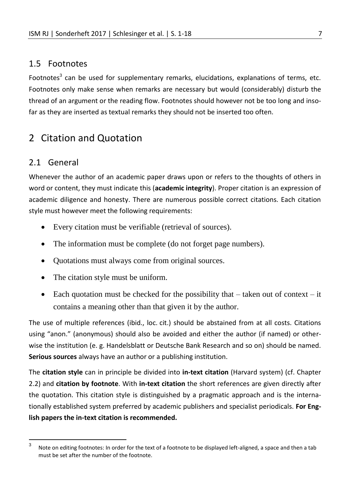# 1.5 Footnotes

Footnotes<sup>3</sup> can be used for supplementary remarks, elucidations, explanations of terms, etc. Footnotes only make sense when remarks are necessary but would (considerably) disturb the thread of an argument or the reading flow. Footnotes should however not be too long and insofar as they are inserted as textual remarks they should not be inserted too often.

# 2 Citation and Quotation

# 2.1 General

Whenever the author of an academic paper draws upon or refers to the thoughts of others in word or content, they must indicate this (**academic integrity**). Proper citation is an expression of academic diligence and honesty. There are numerous possible correct citations. Each citation style must however meet the following requirements:

- Every citation must be verifiable (retrieval of sources).
- The information must be complete (do not forget page numbers).
- Quotations must always come from original sources.
- The citation style must be uniform.
- Each quotation must be checked for the possibility that  $-$  taken out of context  $-$  it contains a meaning other than that given it by the author.

The use of multiple references (ibid., loc. cit.) should be abstained from at all costs. Citations using "anon." (anonymous) should also be avoided and either the author (if named) or otherwise the institution (e. g. Handelsblatt or Deutsche Bank Research and so on) should be named. **Serious sources** always have an author or a publishing institution.

The **citation style** can in principle be divided into **in-text citation** (Harvard system) (cf. Chapter 2.2) and **citation by footnote**. With **in-text citation** the short references are given directly after the quotation. This citation style is distinguished by a pragmatic approach and is the internationally established system preferred by academic publishers and specialist periodicals. **For English papers the in-text citation is recommended.** 

 3 Note on editing footnotes: In order for the text of a footnote to be displayed left-aligned, a space and then a tab must be set after the number of the footnote.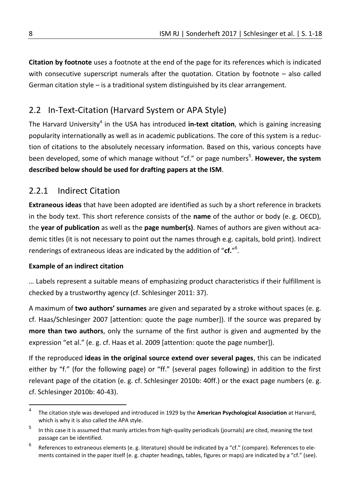**Citation by footnote** uses a footnote at the end of the page for its references which is indicated with consecutive superscript numerals after the quotation. Citation by footnote – also called German citation style – is a traditional system distinguished by its clear arrangement.

# 2.2 In-Text-Citation (Harvard System or APA Style)

The Harvard University<sup>4</sup> in the USA has introduced **in-text citation**, which is gaining increasing popularity internationally as well as in academic publications. The core of this system is a reduction of citations to the absolutely necessary information. Based on this, various concepts have been developed, some of which manage without "cf." or page numbers<sup>5</sup>. However, the system **described below should be used for drafting papers at the ISM**.

# 2.2.1 Indirect Citation

**Extraneous ideas** that have been adopted are identified as such by a short reference in brackets in the body text. This short reference consists of the **name** of the author or body (e. g. OECD), the **year of publication** as well as the **page number(s)**. Names of authors are given without academic titles (it is not necessary to point out the names through e.g. capitals, bold print). Indirect renderings of extraneous ideas are indicated by the addition of "**cf.**" 6 .

### **Example of an indirect citation**

… Labels represent a suitable means of emphasizing product characteristics if their fulfillment is checked by a trustworthy agency (cf. Schlesinger 2011: 37).

A maximum of **two authors' surnames** are given and separated by a stroke without spaces (e. g. cf. Haas/Schlesinger 2007 [attention: quote the page number]). If the source was prepared by **more than two authors**, only the surname of the first author is given and augmented by the expression "et al." (e. g. cf. Haas et al. 2009 [attention: quote the page number]).

If the reproduced **ideas in the original source extend over several pages**, this can be indicated either by "f." (for the following page) or "ff." (several pages following) in addition to the first relevant page of the citation (e. g. cf. Schlesinger 2010b: 40ff.) or the exact page numbers (e. g. cf. Schlesinger 2010b: 40-43).

 $\frac{1}{4}$ The citation style was developed and introduced in 1929 by the **American Psychological Association** at Harvard, which is why it is also called the APA style.

<sup>5</sup> In this case it is assumed that manly articles from high-quality periodicals (journals) are cited, meaning the text passage can be identified.

<sup>6</sup> References to extraneous elements (e. g. literature) should be indicated by a "cf." (compare). References to elements contained in the paper itself (e. g. chapter headings, tables, figures or maps) are indicated by a "cf." (see).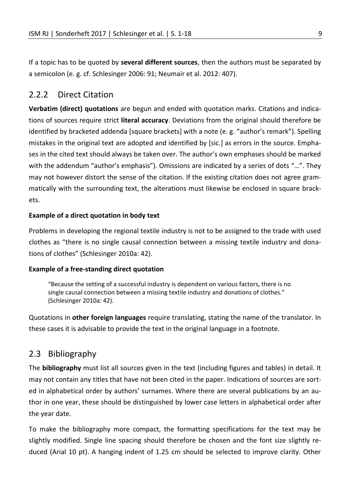If a topic has to be quoted by **several different sources**, then the authors must be separated by a semicolon (e. g. cf. Schlesinger 2006: 91; Neumair et al. 2012: 407).

# 2.2.2 Direct Citation

**Verbatim (direct) quotations** are begun and ended with quotation marks. Citations and indications of sources require strict **literal accuracy**. Deviations from the original should therefore be identified by bracketed addenda [square brackets] with a note (e. g. "author's remark"). Spelling mistakes in the original text are adopted and identified by [sic.] as errors in the source. Emphases in the cited text should always be taken over. The author's own emphases should be marked with the addendum "author's emphasis"). Omissions are indicated by a series of dots "…". They may not however distort the sense of the citation. If the existing citation does not agree grammatically with the surrounding text, the alterations must likewise be enclosed in square brackets.

### **Example of a direct quotation in body text**

Problems in developing the regional textile industry is not to be assigned to the trade with used clothes as "there is no single causal connection between a missing textile industry and donations of clothes" (Schlesinger 2010a: 42).

### **Example of a free-standing direct quotation**

"Because the setting of a successful industry is dependent on various factors, there is no single causal connection between a missing textile industry and donations of clothes." (Schlesinger 2010a: 42).

Quotations in **other foreign languages** require translating, stating the name of the translator. In these cases it is advisable to provide the text in the original language in a footnote.

# 2.3 Bibliography

The **bibliography** must list all sources given in the text (including figures and tables) in detail. It may not contain any titles that have not been cited in the paper. Indications of sources are sorted in alphabetical order by authors' surnames. Where there are several publications by an author in one year, these should be distinguished by lower case letters in alphabetical order after the year date.

To make the bibliography more compact, the formatting specifications for the text may be slightly modified. Single line spacing should therefore be chosen and the font size slightly reduced (Arial 10 pt). A hanging indent of 1.25 cm should be selected to improve clarity. Other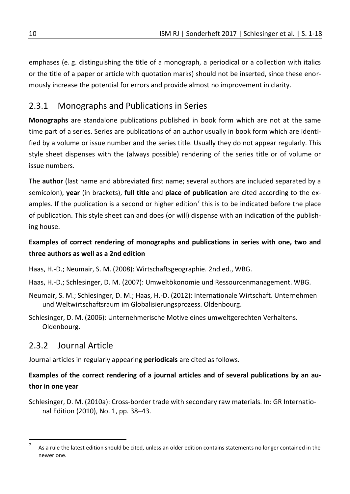emphases (e. g. distinguishing the title of a monograph, a periodical or a collection with italics or the title of a paper or article with quotation marks) should not be inserted, since these enormously increase the potential for errors and provide almost no improvement in clarity.

# 2.3.1 Monographs and Publications in Series

**Monographs** are standalone publications published in book form which are not at the same time part of a series. Series are publications of an author usually in book form which are identified by a volume or issue number and the series title. Usually they do not appear regularly. This style sheet dispenses with the (always possible) rendering of the series title or of volume or issue numbers.

The **author** (last name and abbreviated first name; several authors are included separated by a semicolon), **year** (in brackets), **full title** and **place of publication** are cited according to the examples. If the publication is a second or higher edition<sup>7</sup> this is to be indicated before the place of publication. This style sheet can and does (or will) dispense with an indication of the publishing house.

# **Examples of correct rendering of monographs and publications in series with one, two and three authors as well as a 2nd edition**

- Haas, H.-D.; Neumair, S. M. (2008): Wirtschaftsgeographie. 2nd ed., WBG.
- Haas, H.-D.; Schlesinger, D. M. (2007): Umweltökonomie und Ressourcenmanagement. WBG.
- Neumair, S. M.; Schlesinger, D. M.; Haas, H.-D. (2012): Internationale Wirtschaft. Unternehmen und Weltwirtschaftsraum im Globalisierungsprozess. Oldenbourg.
- Schlesinger, D. M. (2006): Unternehmerische Motive eines umweltgerechten Verhaltens. Oldenbourg.

# 2.3.2 Journal Article

 $\overline{a}$ 

Journal articles in regularly appearing **periodicals** are cited as follows.

# **Examples of the correct rendering of a journal articles and of several publications by an author in one year**

Schlesinger, D. M. (2010a): Cross-border trade with secondary raw materials. In: GR International Edition (2010), No. 1, pp. 38–43.

<sup>7</sup> As a rule the latest edition should be cited, unless an older edition contains statements no longer contained in the newer one.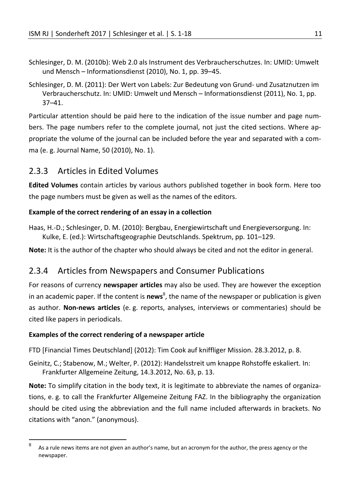- Schlesinger, D. M. (2010b): Web 2.0 als Instrument des Verbraucherschutzes. In: UMID: Umwelt und Mensch – Informationsdienst (2010), No. 1, pp. 39–45.
- Schlesinger, D. M. (2011): Der Wert von Labels: Zur Bedeutung von Grund- und Zusatznutzen im Verbraucherschutz. In: UMID: Umwelt und Mensch – Informationsdienst (2011), No. 1, pp. 37–41.

Particular attention should be paid here to the indication of the issue number and page numbers. The page numbers refer to the complete journal, not just the cited sections. Where appropriate the volume of the journal can be included before the year and separated with a comma (e. g. Journal Name, 50 (2010), No. 1).

# 2.3.3 Articles in Edited Volumes

**Edited Volumes** contain articles by various authors published together in book form. Here too the page numbers must be given as well as the names of the editors.

### **Example of the correct rendering of an essay in a collection**

Haas, H.-D.; Schlesinger, D. M. (2010): Bergbau, Energiewirtschaft und Energieversorgung. In: Kulke, E. (ed.): Wirtschaftsgeographie Deutschlands. Spektrum, pp. 101–129.

**Note:** It is the author of the chapter who should always be cited and not the editor in general.

# 2.3.4 Articles from Newspapers and Consumer Publications

For reasons of currency **newspaper articles** may also be used. They are however the exception in an academic paper. If the content is **news**<sup>8</sup>, the name of the newspaper or publication is given as author. **Non-news articles** (e. g. reports, analyses, interviews or commentaries) should be cited like papers in periodicals.

#### **Examples of the correct rendering of a newspaper article**

FTD [Financial Times Deutschland] (2012): Tim Cook auf kniffliger Mission. 28.3.2012, p. 8.

Geinitz, C.; Stabenow, M.; Welter, P. (2012): Handelsstreit um knappe Rohstoffe eskaliert. In: Frankfurter Allgemeine Zeitung, 14.3.2012, No. 63, p. 13.

**Note:** To simplify citation in the body text, it is legitimate to abbreviate the names of organizations, e. g. to call the Frankfurter Allgemeine Zeitung FAZ. In the bibliography the organization should be cited using the abbreviation and the full name included afterwards in brackets. No citations with "anon." (anonymous).

 $\overline{8}$ As a rule news items are not given an author's name, but an acronym for the author, the press agency or the newspaper.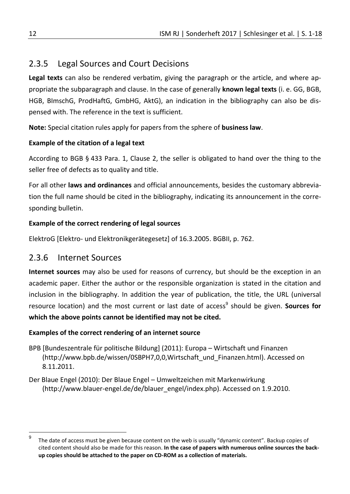# 2.3.5 Legal Sources and Court Decisions

**Legal texts** can also be rendered verbatim, giving the paragraph or the article, and where appropriate the subparagraph and clause. In the case of generally **known legal texts** (i. e. GG, BGB, HGB, BImschG, ProdHaftG, GmbHG, AktG), an indication in the bibliography can also be dispensed with. The reference in the text is sufficient.

**Note:** Special citation rules apply for papers from the sphere of **business law**.

# **Example of the citation of a legal text**

According to BGB § 433 Para. 1, Clause 2, the seller is obligated to hand over the thing to the seller free of defects as to quality and title.

For all other **laws and ordinances** and official announcements, besides the customary abbreviation the full name should be cited in the bibliography, indicating its announcement in the corresponding bulletin.

# **Example of the correct rendering of legal sources**

ElektroG [Elektro- und Elektronikgerätegesetz] of 16.3.2005. BGBII, p. 762.

# 2.3.6 Internet Sources

**Internet sources** may also be used for reasons of currency, but should be the exception in an academic paper. Either the author or the responsible organization is stated in the citation and inclusion in the bibliography. In addition the year of publication, the title, the URL (universal resource location) and the most current or last date of access<sup>9</sup> should be given. **Sources for which the above points cannot be identified may not be cited.**

# **Examples of the correct rendering of an internet source**

- BPB [Bundeszentrale für politische Bildung] (2011): Europa Wirtschaft und Finanzen (http://www.bpb.de/wissen/0SBPH7,0,0,Wirtschaft\_und\_Finanzen.html). Accessed on 8.11.2011.
- Der Blaue Engel (2010): Der Blaue Engel Umweltzeichen mit Markenwirkung (http://www.blauer-engel.de/de/blauer\_engel/index.php). Accessed on 1.9.2010.

<sup>-&</sup>lt;br>9 The date of access must be given because content on the web is usually "dynamic content". Backup copies of cited content should also be made for this reason. **In the case of papers with numerous online sources the backup copies should be attached to the paper on CD-ROM as a collection of materials.**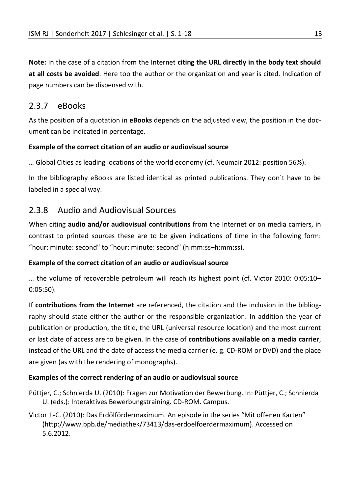**Note:** In the case of a citation from the Internet **citing the URL directly in the body text should at all costs be avoided**. Here too the author or the organization and year is cited. Indication of page numbers can be dispensed with.

# 2.3.7 eBooks

As the position of a quotation in **eBooks** depends on the adjusted view, the position in the document can be indicated in percentage.

### **Example of the correct citation of an audio or audiovisual source**

… Global Cities as leading locations of the world economy (cf. Neumair 2012: position 56%).

In the bibliography eBooks are listed identical as printed publications. They don´t have to be labeled in a special way.

# 2.3.8 Audio and Audiovisual Sources

When citing **audio and/or audiovisual contributions** from the Internet or on media carriers, in contrast to printed sources these are to be given indications of time in the following form: "hour: minute: second" to "hour: minute: second" (h:mm:ss–h:mm:ss).

### **Example of the correct citation of an audio or audiovisual source**

… the volume of recoverable petroleum will reach its highest point (cf. Victor 2010: 0:05:10– 0:05:50).

If **contributions from the Internet** are referenced, the citation and the inclusion in the bibliography should state either the author or the responsible organization. In addition the year of publication or production, the title, the URL (universal resource location) and the most current or last date of access are to be given. In the case of **contributions available on a media carrier**, instead of the URL and the date of access the media carrier (e. g. CD-ROM or DVD) and the place are given (as with the rendering of monographs).

### **Examples of the correct rendering of an audio or audiovisual source**

Püttjer, C.; Schnierda U. (2010): Fragen zur Motivation der Bewerbung. In: Püttjer, C.; Schnierda U. (eds.): Interaktives Bewerbungstraining. CD-ROM. Campus.

Victor J.-C. (2010): Das Erdölfördermaximum. An episode in the series "Mit offenen Karten" (http://www.bpb.de/mediathek/73413/das-erdoelfoerdermaximum). Accessed on 5.6.2012.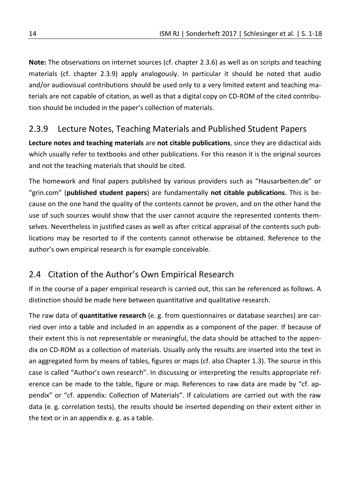**Note:** The observations on internet sources (cf. chapter 2.3.6) as well as on scripts and teaching materials (cf. chapter 2.3.9) apply analogously. In particular it should be noted that audio and/or audiovisual contributions should be used only to a very limited extent and teaching materials are not capable of citation, as well as that a digital copy on CD-ROM of the cited contribution should be included in the paper's collection of materials.

# 2.3.9 Lecture Notes, Teaching Materials and Published Student Papers

**Lecture notes and teaching materials** are **not citable publications**, since they are didactical aids which usually refer to textbooks and other publications. For this reason it is the original sources and not the teaching materials that should be cited.

The homework and final papers published by various providers such as "Hausarbeiten.de" or "grin.com" (**published student papers**) are fundamentally **not citable publications**. This is because on the one hand the quality of the contents cannot be proven, and on the other hand the use of such sources would show that the user cannot acquire the represented contents themselves. Nevertheless in justified cases as well as after critical appraisal of the contents such publications may be resorted to if the contents cannot otherwise be obtained. Reference to the author's own empirical research is for example conceivable.

# 2.4 Citation of the Author's Own Empirical Research

If in the course of a paper empirical research is carried out, this can be referenced as follows. A distinction should be made here between quantitative and qualitative research.

The raw data of **quantitative research** (e. g. from questionnaires or database searches) are carried over into a table and included in an appendix as a component of the paper. If because of their extent this is not representable or meaningful, the data should be attached to the appendix on CD-ROM as a collection of materials. Usually only the results are inserted into the text in an aggregated form by means of tables, figures or maps (cf. also Chapter 1.3). The source in this case is called "Author's own research". In discussing or interpreting the results appropriate reference can be made to the table, figure or map. References to raw data are made by "cf. appendix" or "cf. appendix: Collection of Materials". If calculations are carried out with the raw data (e. g. correlation tests), the results should be inserted depending on their extent either in the text or in an appendix e. g. as a table.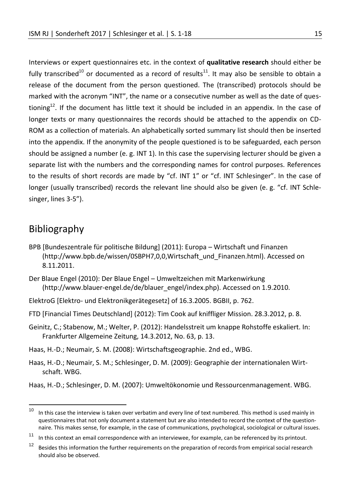Interviews or expert questionnaires etc. in the context of **qualitative research** should either be fully transcribed<sup>10</sup> or documented as a record of results<sup>11</sup>. It may also be sensible to obtain a release of the document from the person questioned. The (transcribed) protocols should be marked with the acronym "INT", the name or a consecutive number as well as the date of questioning<sup>12</sup>. If the document has little text it should be included in an appendix. In the case of longer texts or many questionnaires the records should be attached to the appendix on CD-ROM as a collection of materials. An alphabetically sorted summary list should then be inserted into the appendix. If the anonymity of the people questioned is to be safeguarded, each person should be assigned a number (e. g. INT 1). In this case the supervising lecturer should be given a separate list with the numbers and the corresponding names for control purposes. References to the results of short records are made by "cf. INT 1" or "cf. INT Schlesinger". In the case of longer (usually transcribed) records the relevant line should also be given (e. g. "cf. INT Schlesinger, lines 3-5").

# Bibliography

- BPB [Bundeszentrale für politische Bildung] (2011): Europa Wirtschaft und Finanzen (http://www.bpb.de/wissen/0SBPH7,0,0,Wirtschaft\_und\_Finanzen.html). Accessed on 8.11.2011.
- Der Blaue Engel (2010): Der Blaue Engel Umweltzeichen mit Markenwirkung (http://www.blauer-engel.de/de/blauer\_engel/index.php). Accessed on 1.9.2010.
- ElektroG [Elektro- und Elektronikgerätegesetz] of 16.3.2005. BGBII, p. 762.
- FTD [Financial Times Deutschland] (2012): Tim Cook auf kniffliger Mission. 28.3.2012, p. 8.
- Geinitz, C.; Stabenow, M.; Welter, P. (2012): Handelsstreit um knappe Rohstoffe eskaliert. In: Frankfurter Allgemeine Zeitung, 14.3.2012, No. 63, p. 13.
- Haas, H.-D.; Neumair, S. M. (2008): Wirtschaftsgeographie. 2nd ed., WBG.
- Haas, H.-D.; Neumair, S. M.; Schlesinger, D. M. (2009): Geographie der internationalen Wirtschaft. WBG.

Haas, H.-D.; Schlesinger, D. M. (2007): Umweltökonomie und Ressourcenmanagement. WBG.

 $10$ In this case the interview is taken over verbatim and every line of text numbered. This method is used mainly in questionnaires that not only document a statement but are also intended to record the context of the questionnaire. This makes sense, for example, in the case of communications, psychological, sociological or cultural issues.

<sup>&</sup>lt;sup>11</sup> In this context an email correspondence with an interviewee, for example, can be referenced by its printout.

<sup>&</sup>lt;sup>12</sup> Besides this information the further requirements on the preparation of records from empirical social research should also be observed.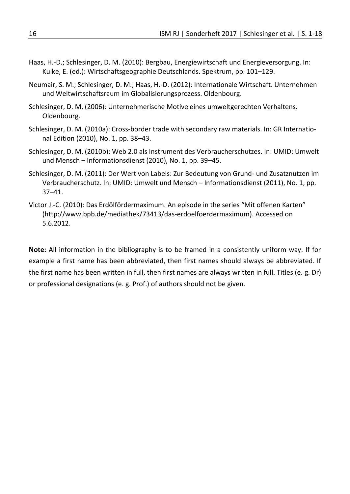- Haas, H.-D.; Schlesinger, D. M. (2010): Bergbau, Energiewirtschaft und Energieversorgung. In: Kulke, E. (ed.): Wirtschaftsgeographie Deutschlands. Spektrum, pp. 101–129.
- Neumair, S. M.; Schlesinger, D. M.; Haas, H.-D. (2012): Internationale Wirtschaft. Unternehmen und Weltwirtschaftsraum im Globalisierungsprozess. Oldenbourg.
- Schlesinger, D. M. (2006): Unternehmerische Motive eines umweltgerechten Verhaltens. Oldenbourg.
- Schlesinger, D. M. (2010a): Cross-border trade with secondary raw materials. In: GR International Edition (2010), No. 1, pp. 38–43.
- Schlesinger, D. M. (2010b): Web 2.0 als Instrument des Verbraucherschutzes. In: UMID: Umwelt und Mensch – Informationsdienst (2010), No. 1, pp. 39–45.
- Schlesinger, D. M. (2011): Der Wert von Labels: Zur Bedeutung von Grund- und Zusatznutzen im Verbraucherschutz. In: UMID: Umwelt und Mensch – Informationsdienst (2011), No. 1, pp. 37–41.
- Victor J.-C. (2010): Das Erdölfördermaximum. An episode in the series "Mit offenen Karten" (http://www.bpb.de/mediathek/73413/das-erdoelfoerdermaximum). Accessed on 5.6.2012.

**Note:** All information in the bibliography is to be framed in a consistently uniform way. If for example a first name has been abbreviated, then first names should always be abbreviated. If the first name has been written in full, then first names are always written in full. Titles (e. g. Dr) or professional designations (e. g. Prof.) of authors should not be given.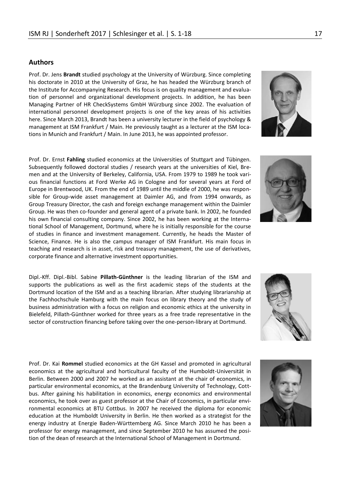#### **Authors**

Prof. Dr. Jens **Brandt** studied psychology at the University of Würzburg. Since completing his doctorate in 2010 at the University of Graz, he has headed the Würzburg branch of the Institute for Accompanying Research. His focus is on quality management and evaluation of personnel and organizational development projects. In addition, he has been Managing Partner of HR CheckSystems GmbH Würzburg since 2002. The evaluation of international personnel development projects is one of the key areas of his activities here. Since March 2013, Brandt has been a university lecturer in the field of psychology & management at ISM Frankfurt / Main. He previously taught as a lecturer at the ISM locations in Munich and Frankfurt / Main. In June 2013, he was appointed professor.

Prof. Dr. Ernst **Fahling** studied economics at the Universities of Stuttgart and Tübingen. Subsequently followed doctoral studies / research years at the universities of Kiel, Bremen and at the University of Berkeley, California, USA. From 1979 to 1989 he took various financial functions at Ford Werke AG in Cologne and for several years at Ford of Europe in Brentwood, UK. From the end of 1989 until the middle of 2000, he was responsible for Group-wide asset management at Daimler AG, and from 1994 onwards, as Group Treasury Director, the cash and foreign exchange management within the Daimler Group. He was then co-founder and general agent of a private bank. In 2002, he founded his own financial consulting company. Since 2002, he has been working at the International School of Management, Dortmund, where he is initially responsible for the course of studies in finance and investment management. Currently, he heads the Master of Science, Finance. He is also the campus manager of ISM Frankfurt. His main focus in teaching and research is in asset, risk and treasury management, the use of derivatives, corporate finance and alternative investment opportunities.

Dipl.-Kff. Dipl.-Bibl. Sabine **Pillath-Günthner** is the leading librarian of the ISM and supports the publications as well as the first academic steps of the students at the Dortmund location of the ISM and as a teaching librarian. After studying librarianship at the Fachhochschule Hamburg with the main focus on library theory and the study of business administration with a focus on religion and economic ethics at the university in Bielefeld, Pillath-Günthner worked for three years as a free trade representative in the sector of construction financing before taking over the one-person-library at Dortmund.

Prof. Dr. Kai **Rommel** studied economics at the GH Kassel and promoted in agricultural economics at the agricultural and horticultural faculty of the Humboldt-Universität in Berlin. Between 2000 and 2007 he worked as an assistant at the chair of economics, in particular environmental economics, at the Brandenburg University of Technology, Cottbus. After gaining his habilitation in economics, energy economics and environmental economics, he took over as guest professor at the Chair of Economics, in particular environmental economics at BTU Cottbus. In 2007 he received the diploma for economic education at the Humboldt University in Berlin. He then worked as a strategist for the energy industry at Energie Baden-Württemberg AG. Since March 2010 he has been a professor for energy management, and since September 2010 he has assumed the position of the dean of research at the International School of Management in Dortmund.









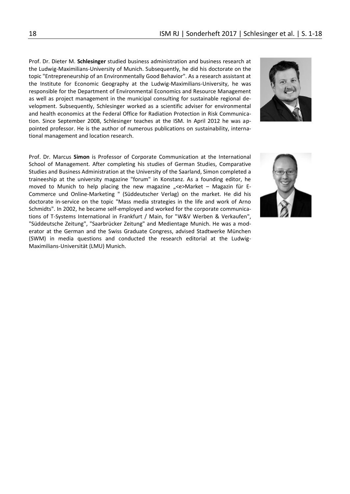Prof. Dr. Dieter M. **Schlesinger** studied business administration and business research at the Ludwig-Maximilians-University of Munich. Subsequently, he did his doctorate on the topic "Entrepreneurship of an Environmentally Good Behavior". As a research assistant at the Institute for Economic Geography at the Ludwig-Maximilians-University, he was responsible for the Department of Environmental Economics and Resource Management as well as project management in the municipal consulting for sustainable regional development. Subsequently, Schlesinger worked as a scientific adviser for environmental and health economics at the Federal Office for Radiation Protection in Risk Communication. Since September 2008, Schlesinger teaches at the ISM. In April 2012 he was appointed professor. He is the author of numerous publications on sustainability, international management and location research.

Prof. Dr. Marcus **Simon** is Professor of Corporate Communication at the International School of Management. After completing his studies of German Studies, Comparative Studies and Business Administration at the University of the Saarland, Simon completed a traineeship at the university magazine "forum" in Konstanz. As a founding editor, he moved to Munich to help placing the new magazine  $C_{\text{e}}$  < Market – Magazin für E-Commerce und Online-Marketing " (Süddeutscher Verlag) on the market. He did his doctorate in-service on the topic "Mass media strategies in the life and work of Arno Schmidts". In 2002, he became self-employed and worked for the corporate communications of T-Systems International in Frankfurt / Main, for "W&V Werben & Verkaufen", "Süddeutsche Zeitung", "Saarbrücker Zeitung" and Medientage Munich. He was a moderator at the German and the Swiss Graduate Congress, advised Stadtwerke München (SWM) in media questions and conducted the research editorial at the Ludwig-Maximilians-Universität (LMU) Munich.

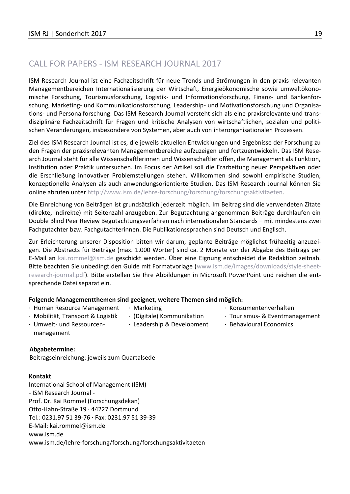# CALL FOR PAPERS - ISM RESEARCH JOURNAL 2017

ISM Research Journal ist eine Fachzeitschrift für neue Trends und Strömungen in den praxis-relevanten Managementbereichen Internationalisierung der Wirtschaft, Energieökonomische sowie umweltökonomische Forschung, Tourismusforschung, Logistik- und Informationsforschung, Finanz- und Bankenforschung, Marketing- und Kommunikationsforschung, Leadership- und Motivationsforschung und Organisations- und Personalforschung. Das ISM Research Journal versteht sich als eine praxisrelevante und transdisziplinäre Fachzeitschrift für Fragen und kritische Analysen von wirtschaftlichen, sozialen und politischen Veränderungen, insbesondere von Systemen, aber auch von interorganisationalen Prozessen.

Ziel des ISM Research Journal ist es, die jeweils aktuellen Entwicklungen und Ergebnisse der Forschung zu den Fragen der praxisrelevanten Managementbereiche aufzuzeigen und fortzuentwickeln. Das ISM Research Journal steht für alle Wissenschaftlerinnen und Wissenschaftler offen, die Management als Funktion, Institution oder Praktik untersuchen. Im Focus der Artikel soll die Erarbeitung neuer Perspektiven oder die Erschließung innovativer Problemstellungen stehen. Willkommen sind sowohl empirische Studien, konzeptionelle Analysen als auch anwendungsorientierte Studien. Das ISM Research Journal können Sie online abrufen unter http://www.ism.de/lehre-forschung/forschung/forschungsaktivitaeten.

Die Einreichung von Beiträgen ist grundsätzlich jederzeit möglich. Im Beitrag sind die verwendeten Zitate (direkte, indirekte) mit Seitenzahl anzugeben. Zur Begutachtung angenommen Beiträge durchlaufen ein Double Blind Peer Review Begutachtungsverfahren nach internationalen Standards – mit mindestens zwei Fachgutachter bzw. Fachgutachterinnen. Die Publikationssprachen sind Deutsch und Englisch.

Zur Erleichterung unserer Disposition bitten wir darum, geplante Beiträge möglichst frühzeitig anzuzeigen. Die Abstracts für Beiträge (max. 1.000 Wörter) sind ca. 2 Monate vor der Abgabe des Beitrags per E-Mail an kai.rommel@ism.de geschickt werden. Über eine Eignung entscheidet die Redaktion zeitnah. Bitte beachten Sie unbedingt den Guide mit Formatvorlage (www.ism.de/images/downloads/style-sheetresearch-journal.pdf). Bitte erstellen Sie Ihre Abbildungen in Microsoft PowerPoint und reichen die entsprechende Datei separat ein.

#### **Folgende Managementthemen sind geeignet, weitere Themen sind möglich:**

- · Human Resource Management
- · Marketing · (Digitale) Kommunikation
- · Konsumentenverhalten
- · Mobilität, Transport & Logistik · Umwelt- und Ressourcen-
- · Leadership & Development
- · Tourismus- & Eventmanagement
- · Behavioural Economics

management

#### **Abgabetermine:**

Beitragseinreichung: jeweils zum Quartalsede

#### **Kontakt**

International School of Management (ISM) - ISM Research Journal - Prof. Dr. Kai Rommel (Forschungsdekan) Otto-Hahn-Straße 19 · 44227 Dortmund Tel.: 0231.97 51 39-76 · Fax: 0231.97 51 39-39 E-Mail: kai.rommel@ism.de www.ism.de www.ism.de/lehre-forschung/forschung/forschungsaktivitaeten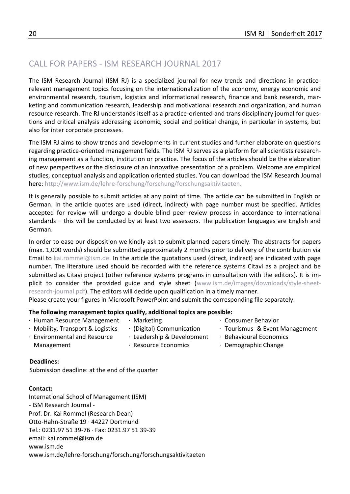# CALL FOR PAPERS - ISM RESEARCH JOURNAL 2017

The ISM Research Journal (ISM RJ) is a specialized journal for new trends and directions in practicerelevant management topics focusing on the internationalization of the economy, energy economic and environmental research, tourism, logistics and informational research, finance and bank research, marketing and communication research, leadership and motivational research and organization, and human resource research. The RJ understands itself as a practice-oriented and trans disciplinary journal for questions and critical analysis addressing economic, social and political change, in particular in systems, but also for inter corporate processes.

The ISM RJ aims to show trends and developments in current studies and further elaborate on questions regarding practice-oriented management fields. The ISM RJ serves as a platform for all scientists researching management as a function, institution or practice. The focus of the articles should be the elaboration of new perspectives or the disclosure of an innovative presentation of a problem. Welcome are empirical studies, conceptual analysis and application oriented studies. You can download the ISM Research Journal here: http://www.ism.de/lehre-forschung/forschung/forschungsaktivitaeten.

It is generally possible to submit articles at any point of time. The article can be submitted in English or German. In the article quotes are used (direct, indirect) with page number must be specified. Articles accepted for review will undergo a double blind peer review process in accordance to international standards – this will be conducted by at least two assessors. The publication languages are English and German.

In order to ease our disposition we kindly ask to submit planned papers timely. The abstracts for papers (max. 1,000 words) should be submitted approximately 2 months prior to delivery of the contribution via Email to kai.rommel@ism.de. In the article the quotations used (direct, indirect) are indicated with page number. The literature used should be recorded with the reference systems Citavi as a project and be submitted as Citavi project (other reference systems programs in consultation with the editors). It is implicit to consider the provided guide and style sheet [\(www.ism.de/images/downloads/style-sheet](file:///C:/Users/andrea.struck/AppData/Local/Microsoft/Windows/Temporary%20Internet%20Files/Content.Outlook/6LDWKKYF/www.ism.de/images/downloads/style-sheet-research-journal.pdf)[research-journal.pdf\)](file:///C:/Users/andrea.struck/AppData/Local/Microsoft/Windows/Temporary%20Internet%20Files/Content.Outlook/6LDWKKYF/www.ism.de/images/downloads/style-sheet-research-journal.pdf). The editors will decide upon qualification in a timely manner.

Please create your figures in Microsoft PowerPoint and submit the corresponding file separately.

#### **The following management topics qualify, additional topics are possible:**

- · Human Resource Management
	- · Marketing · (Digital) Communication
		- · Tourismus- & Event Management
- · Mobility, Transport & Logistics · Environmental and Resource Management
- · Leadership & Development
- · Behavioural Economics

· Consumer Behavior

- · Resource Economics
- · Demographic Change

#### **Deadlines:**

Submission deadline: at the end of the quarter

#### **Contact:**

International School of Management (ISM) - ISM Research Journal - Prof. Dr. Kai Rommel (Research Dean) Otto-Hahn-Straße 19 · 44227 Dortmund Tel.: 0231.97 51 39-76 · Fax: 0231.97 51 39-39 email: kai.rommel@ism.de www.ism.de www.ism.de/lehre-forschung/forschung/forschungsaktivitaeten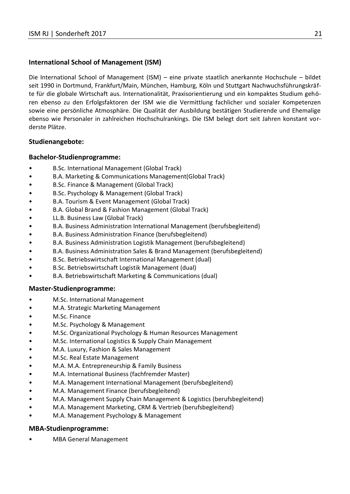#### **International School of Management (ISM)**

Die International School of Management (ISM) – eine private staatlich anerkannte Hochschule – bildet seit 1990 in Dortmund, Frankfurt/Main, München, Hamburg, Köln und Stuttgart Nachwuchsführungskräfte für die globale Wirtschaft aus. Internationalität, Praxisorientierung und ein kompaktes Studium gehören ebenso zu den Erfolgsfaktoren der ISM wie die Vermittlung fachlicher und sozialer Kompetenzen sowie eine persönliche Atmosphäre. Die Qualität der Ausbildung bestätigen Studierende und Ehemalige ebenso wie Personaler in zahlreichen Hochschulrankings. Die ISM belegt dort seit Jahren konstant vorderste Plätze.

#### **Studienangebote:**

#### **Bachelor-Studienprogramme:**

- B.Sc. International Management (Global Track)
- B.A. Marketing & Communications Management(Global Track)
- B.Sc. Finance & Management (Global Track)
- B.Sc. Psychology & Management (Global Track)
- B.A. Tourism & Event Management (Global Track)
- B.A. Global Brand & Fashion Management (Global Track)
- LL.B. Business Law (Global Track)
- B.A. Business Administration International Management (berufsbegleitend)
- B.A. Business Administration Finance (berufsbegleitend)
- B.A. Business Administration Logistik Management (berufsbegleitend)
- B.A. Business Administration Sales & Brand Management (berufsbegleitend)
- B.Sc. Betriebswirtschaft International Management (dual)
- B.Sc. Betriebswirtschaft Logistik Management (dual)
- B.A. Betriebswirtschaft Marketing & Communications (dual)

#### **Master-Studienprogramme:**

- M.Sc. International Management
- M.A. Strategic Marketing Management
- M.Sc. Finance
- M.Sc. Psychology & Management
- M.Sc. Organizational Psychology & Human Resources Management
- M.Sc. International Logistics & Supply Chain Management
- M.A. Luxury, Fashion & Sales Management
- M.Sc. Real Estate Management
- M.A. M.A. Entrepreneurship & Family Business
- M.A. International Business (fachfremder Master)
- M.A. Management International Management (berufsbegleitend)
- M.A. Management Finance (berufsbegleitend)
- M.A. Management Supply Chain Management & Logistics (berufsbegleitend)
- M.A. Management Marketing, CRM & Vertrieb (berufsbegleitend)
- M.A. Management Psychology & Management

#### **MBA-Studienprogramme:**

• MBA General Management